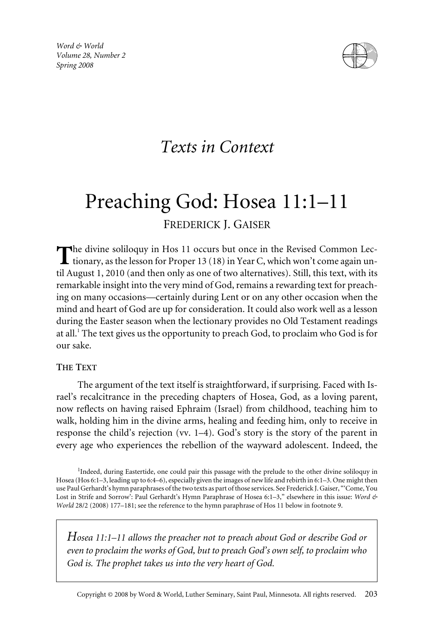*Word & World Volume 28, Number 2 Spring 2008*



## *Texts in Context*

# Preaching God: Hosea 11:1–11 FREDERICK J. GAISER

The divine soliloquy in Hos 11 occurs but once in the Revised Common Lectionary, as the lesson for Proper 13 (18) in Year C, which won't come again until August 1, 2010 (and then only as one of two alternatives). Still, this text, with its remarkable insight into the very mind of God, remains a rewarding text for preaching on many occasions—certainly during Lent or on any other occasion when the mind and heart of God are up for consideration. It could also work well as a lesson during the Easter season when the lectionary provides no Old Testament readings at all.<sup>1</sup> The text gives us the opportunity to preach God, to proclaim who God is for our sake.

#### **THE TEXT**

The argument of the text itself is straightforward, if surprising. Faced with Israel's recalcitrance in the preceding chapters of Hosea, God, as a loving parent, now reflects on having raised Ephraim (Israel) from childhood, teaching him to walk, holding him in the divine arms, healing and feeding him, only to receive in response the child's rejection (vv. 1–4). God's story is the story of the parent in every age who experiences the rebellion of the wayward adolescent. Indeed, the

*Hosea 11:1–11 allows the preacher not to preach about God or describe God or even to proclaim the works of God, but to preach God's own self, to proclaim who God is. The prophet takes us into the very heart of God.*

<sup>&</sup>lt;sup>1</sup>Indeed, during Eastertide, one could pair this passage with the prelude to the other divine soliloquy in Hosea (Hos 6:1–3, leading up to 6:4–6), especially given the images of new life and rebirth in 6:1–3. One might then use Paul Gerhardt's hymn paraphrases of the two texts as part of those services. See Frederick J. Gaiser, "'Come, You Lost in Strife and Sorrow': Paul Gerhardt's Hymn Paraphrase of Hosea 6:1–3," elsewhere in this issue: *Word & World* 28/2 (2008) 177–181; see the reference to the hymn paraphrase of Hos 11 below in footnote 9.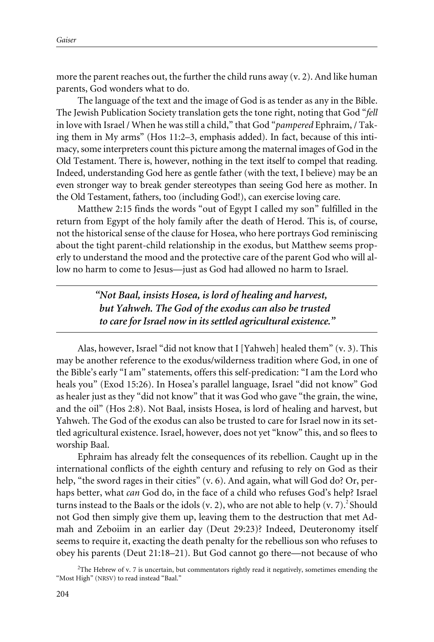more the parent reaches out, the further the child runs away  $(v, 2)$ . And like human parents, God wonders what to do.

The language of the text and the image of God is as tender as any in the Bible. The Jewish Publication Society translation gets the tone right, noting that God "*fell* in love with Israel / When he was still a child," that God "*pampered* Ephraim, / Taking them in My arms" (Hos 11:2–3, emphasis added). In fact, because of this intimacy, some interpreters count this picture among the maternal images of God in the Old Testament. There is, however, nothing in the text itself to compel that reading. Indeed, understanding God here as gentle father (with the text, I believe) may be an even stronger way to break gender stereotypes than seeing God here as mother. In the Old Testament, fathers, too (including God!), can exercise loving care.

Matthew 2:15 finds the words "out of Egypt I called my son" fulfilled in the return from Egypt of the holy family after the death of Herod. This is, of course, not the historical sense of the clause for Hosea, who here portrays God reminiscing about the tight parent-child relationship in the exodus, but Matthew seems properly to understand the mood and the protective care of the parent God who will allow no harm to come to Jesus—just as God had allowed no harm to Israel.

> *"Not Baal, insists Hosea, is lord of healing and harvest, but Yahweh. The God of the exodus can also be trusted to care for Israel now in its settled agricultural existence."*

Alas, however, Israel "did not know that I [Yahweh] healed them" (v. 3). This may be another reference to the exodus/wilderness tradition where God, in one of the Bible's early "I am" statements, offers this self-predication: "I am the Lord who heals you" (Exod 15:26). In Hosea's parallel language, Israel "did not know" God as healer just as they "did not know" that it was God who gave "the grain, the wine, and the oil" (Hos 2:8). Not Baal, insists Hosea, is lord of healing and harvest, but Yahweh. The God of the exodus can also be trusted to care for Israel now in its settled agricultural existence. Israel, however, does not yet "know" this, and so flees to worship Baal.

Ephraim has already felt the consequences of its rebellion. Caught up in the international conflicts of the eighth century and refusing to rely on God as their help, "the sword rages in their cities" (v. 6). And again, what will God do? Or, perhaps better, what *can* God do, in the face of a child who refuses God's help? Israel turns instead to the Baals or the idols (v. 2), who are not able to help (v. 7). $^2$  Should not God then simply give them up, leaving them to the destruction that met Admah and Zeboiim in an earlier day (Deut 29:23)? Indeed, Deuteronomy itself seems to require it, exacting the death penalty for the rebellious son who refuses to obey his parents (Deut 21:18–21). But God cannot go there—not because of who

 $2$ The Hebrew of v. 7 is uncertain, but commentators rightly read it negatively, sometimes emending the "Most High" (NRSV) to read instead "Baal."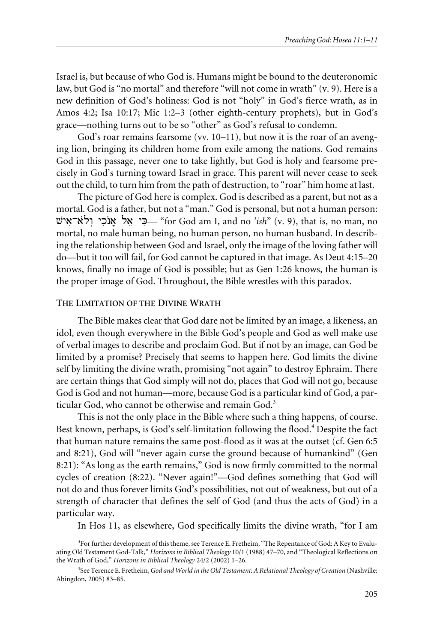Israel is, but because of who God is. Humans might be bound to the deuteronomic law, but God is "no mortal" and therefore "will not come in wrath" (v. 9). Here is a new definition of God's holiness: God is not "holy" in God's fierce wrath, as in Amos 4:2; Isa 10:17; Mic 1:2–3 (other eighth-century prophets), but in God's grace—nothing turns out to be so "other" as God's refusal to condemn.

God's roar remains fearsome (vv. 10–11), but now it is the roar of an avenging lion, bringing its children home from exile among the nations. God remains God in this passage, never one to take lightly, but God is holy and fearsome precisely in God's turning toward Israel in grace. This parent will never cease to seek out the child, to turn him from the path of destruction, to "roar" him home at last.

The picture of God here is complex. God is described as a parent, but not as a mortal. God is a father, but not a "man." God is personal, but not a human person: vya!-a{lw+ yk!n{a\* la@ yK!— "for God am I, and no *'ish*" (v. 9), that is, no man, no mortal, no male human being, no human person, no human husband. In describing the relationship between God and Israel, only the image of the loving father will do—but it too will fail, for God cannot be captured in that image. As Deut 4:15–20 knows, finally no image of God is possible; but as Gen 1:26 knows, the human is the proper image of God. Throughout, the Bible wrestles with this paradox.

#### **THE LIMITATION OF THE DIVINE WRATH**

The Bible makes clear that God dare not be limited by an image, a likeness, an idol, even though everywhere in the Bible God's people and God as well make use of verbal images to describe and proclaim God. But if not by an image, can God be limited by a promise? Precisely that seems to happen here. God limits the divine self by limiting the divine wrath, promising "not again" to destroy Ephraim. There are certain things that God simply will not do, places that God will not go, because God is God and not human—more, because God is a particular kind of God, a particular God, who cannot be otherwise and remain God.<sup>3</sup>

This is not the only place in the Bible where such a thing happens, of course. Best known, perhaps, is God's self-limitation following the flood.<sup>4</sup> Despite the fact that human nature remains the same post-flood as it was at the outset (cf. Gen 6:5 and 8:21), God will "never again curse the ground because of humankind" (Gen 8:21): "As long as the earth remains," God is now firmly committed to the normal cycles of creation (8:22). "Never again!"—God defines something that God will not do and thus forever limits God's possibilities, not out of weakness, but out of a strength of character that defines the self of God (and thus the acts of God) in a particular way.

In Hos 11, as elsewhere, God specifically limits the divine wrath, "for I am

<sup>&</sup>lt;sup>3</sup> For further development of this theme, see Terence E. Fretheim, "The Repentance of God: A Key to Evaluating Old Testament God-Talk," *Horizons in Biblical Theology* 10/1 (1988) 47–70, and "Theological Reflections on the Wrath of God," *Horizons in Biblical Theology* 24/2 (2002) 1–26.

<sup>4</sup> See Terence E. Fretheim,*God and World in the Old Testament: A Relational Theology of Creation* (Nashville: Abingdon, 2005) 83–85.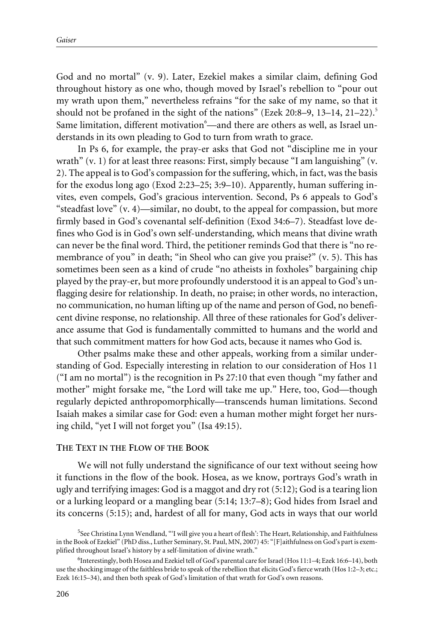God and no mortal" (v. 9). Later, Ezekiel makes a similar claim, defining God throughout history as one who, though moved by Israel's rebellion to "pour out my wrath upon them," nevertheless refrains "for the sake of my name, so that it should not be profaned in the sight of the nations" (Ezek 20:8–9, 13–14, 21–22).<sup>5</sup> Same limitation, different motivation $^6\!-\!$ and there are others as well, as Israel understands in its own pleading to God to turn from wrath to grace.

In Ps 6, for example, the pray-er asks that God not "discipline me in your wrath" (v. 1) for at least three reasons: First, simply because "I am languishing" (v. 2). The appeal is to God's compassion for the suffering, which, in fact, was the basis for the exodus long ago (Exod 2:23–25; 3:9–10). Apparently, human suffering invites, even compels, God's gracious intervention. Second, Ps 6 appeals to God's "steadfast love" (v. 4)—similar, no doubt, to the appeal for compassion, but more firmly based in God's covenantal self-definition (Exod 34:6–7). Steadfast love defines who God is in God's own self-understanding, which means that divine wrath can never be the final word. Third, the petitioner reminds God that there is "no remembrance of you" in death; "in Sheol who can give you praise?" (v. 5). This has sometimes been seen as a kind of crude "no atheists in foxholes" bargaining chip played by the pray-er, but more profoundly understood it is an appeal to God's unflagging desire for relationship. In death, no praise; in other words, no interaction, no communication, no human lifting up of the name and person of God, no beneficent divine response, no relationship. All three of these rationales for God's deliverance assume that God is fundamentally committed to humans and the world and that such commitment matters for how God acts, because it names who God is.

Other psalms make these and other appeals, working from a similar understanding of God. Especially interesting in relation to our consideration of Hos 11 ("I am no mortal") is the recognition in Ps 27:10 that even though "my father and mother" might forsake me, "the Lord will take me up." Here, too, God—though regularly depicted anthropomorphically—transcends human limitations. Second Isaiah makes a similar case for God: even a human mother might forget her nursing child, "yet I will not forget you" (Isa 49:15).

#### **THE TEXT IN THE FLOW OF THE BOOK**

We will not fully understand the significance of our text without seeing how it functions in the flow of the book. Hosea, as we know, portrays God's wrath in ugly and terrifying images: God is a maggot and dry rot (5:12); God is a tearing lion or a lurking leopard or a mangling bear (5:14; 13:7–8); God hides from Israel and its concerns (5:15); and, hardest of all for many, God acts in ways that our world

<sup>&</sup>lt;sup>5</sup>See Christina Lynn Wendland, "'I will give you a heart of flesh': The Heart, Relationship, and Faithfulness in the Book of Ezekiel" (PhD diss., Luther Seminary, St. Paul, MN, 2007) 45: "[F]aithfulness on God's part is exemplified throughout Israel's history by a self-limitation of divine wrath."

<sup>&</sup>lt;sup>6</sup>Interestingly, both Hosea and Ezekiel tell of God's parental care for Israel (Hos 11:1-4; Ezek 16:6-14), both use the shocking image of the faithless bride to speak of the rebellion that elicits God's fierce wrath (Hos 1:2–3; etc.; Ezek 16:15–34), and then both speak of God's limitation of that wrath for God's own reasons.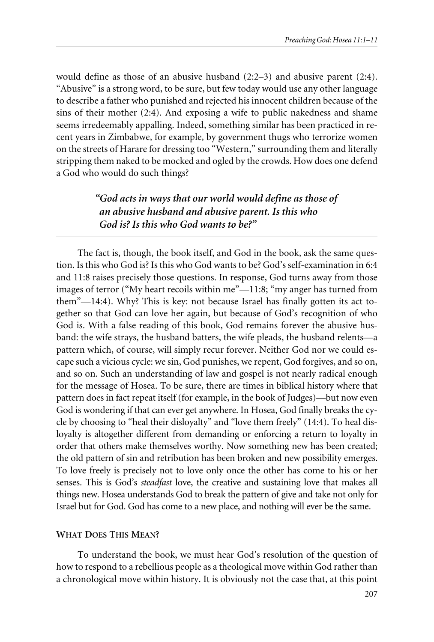would define as those of an abusive husband  $(2:2-3)$  and abusive parent  $(2:4)$ . "Abusive" is a strong word, to be sure, but few today would use any other language to describe a father who punished and rejected his innocent children because of the sins of their mother (2:4). And exposing a wife to public nakedness and shame seems irredeemably appalling. Indeed, something similar has been practiced in recent years in Zimbabwe, for example, by government thugs who terrorize women on the streets of Harare for dressing too "Western," surrounding them and literally stripping them naked to be mocked and ogled by the crowds. How does one defend a God who would do such things?

### *"God acts in ways that our world would define as those of an abusive husband and abusive parent. Is this who God is? Is this who God wants to be?"*

The fact is, though, the book itself, and God in the book, ask the same question. Is this who God is? Is this who God wants to be? God's self-examination in 6:4 and 11:8 raises precisely those questions. In response, God turns away from those images of terror ("My heart recoils within me"—11:8; "my anger has turned from them"—14:4). Why? This is key: not because Israel has finally gotten its act together so that God can love her again, but because of God's recognition of who God is. With a false reading of this book, God remains forever the abusive husband: the wife strays, the husband batters, the wife pleads, the husband relents—a pattern which, of course, will simply recur forever. Neither God nor we could escape such a vicious cycle: we sin, God punishes, we repent, God forgives, and so on, and so on. Such an understanding of law and gospel is not nearly radical enough for the message of Hosea. To be sure, there are times in biblical history where that pattern does in fact repeat itself (for example, in the book of Judges)—but now even God is wondering if that can ever get anywhere. In Hosea, God finally breaks the cycle by choosing to "heal their disloyalty" and "love them freely" (14:4). To heal disloyalty is altogether different from demanding or enforcing a return to loyalty in order that others make themselves worthy. Now something new has been created; the old pattern of sin and retribution has been broken and new possibility emerges. To love freely is precisely not to love only once the other has come to his or her senses. This is God's *steadfast* love, the creative and sustaining love that makes all things new. Hosea understands God to break the pattern of give and take not only for Israel but for God. God has come to a new place, and nothing will ever be the same.

#### **WHAT DOES THIS MEAN?**

To understand the book, we must hear God's resolution of the question of how to respond to a rebellious people as a theological move within God rather than a chronological move within history. It is obviously not the case that, at this point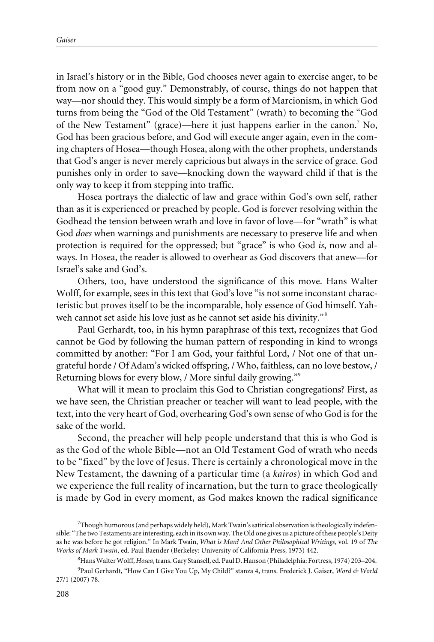in Israel's history or in the Bible, God chooses never again to exercise anger, to be from now on a "good guy." Demonstrably, of course, things do not happen that way—nor should they. This would simply be a form of Marcionism, in which God turns from being the "God of the Old Testament" (wrath) to becoming the "God of the New Testament" (grace)—here it just happens earlier in the canon.<sup>7</sup> No, God has been gracious before, and God will execute anger again, even in the coming chapters of Hosea—though Hosea, along with the other prophets, understands that God's anger is never merely capricious but always in the service of grace. God punishes only in order to save—knocking down the wayward child if that is the only way to keep it from stepping into traffic.

Hosea portrays the dialectic of law and grace within God's own self, rather than as it is experienced or preached by people. God is forever resolving within the Godhead the tension between wrath and love in favor of love—for "wrath" is what God *does* when warnings and punishments are necessary to preserve life and when protection is required for the oppressed; but "grace" is who God *is*, now and always. In Hosea, the reader is allowed to overhear as God discovers that anew—for Israel's sake and God's.

Others, too, have understood the significance of this move. Hans Walter Wolff, for example, sees in this text that God's love "is not some inconstant characteristic but proves itself to be the incomparable, holy essence of God himself. Yahweh cannot set aside his love just as he cannot set aside his divinity."<sup>8</sup>

Paul Gerhardt, too, in his hymn paraphrase of this text, recognizes that God cannot be God by following the human pattern of responding in kind to wrongs committed by another: "For I am God, your faithful Lord, / Not one of that ungrateful horde / Of Adam's wicked offspring, / Who, faithless, can no love bestow, / Returning blows for every blow, / More sinful daily growing."<sup>9</sup>

What will it mean to proclaim this God to Christian congregations? First, as we have seen, the Christian preacher or teacher will want to lead people, with the text, into the very heart of God, overhearing God's own sense of who God is for the sake of the world.

Second, the preacher will help people understand that this is who God is as the God of the whole Bible—not an Old Testament God of wrath who needs to be "fixed" by the love of Jesus. There is certainly a chronological move in the New Testament, the dawning of a particular time (a *kairos*) in which God and we experience the full reality of incarnation, but the turn to grace theologically is made by God in every moment, as God makes known the radical significance

8 Hans Walter Wolff,*Hosea*, trans. Gary Stansell, ed. Paul D. Hanson (Philadelphia: Fortress, 1974) 203–204.

<sup>&</sup>lt;sup>7</sup>Though humorous (and perhaps widely held), Mark Twain's satirical observation is theologically indefensible: "The two Testaments are interesting, each in its own way. The Old one gives us a picture of these people's Deity as he was before he got religion." In Mark Twain, *What is Man? And Other Philosophical Writings*, vol*.* 19 of *The Works of Mark Twain*, ed. Paul Baender (Berkeley: University of California Press, 1973) 442.

<sup>9</sup> Paul Gerhardt, "How Can I Give You Up, My Child?" stanza 4, trans. Frederick J. Gaiser, *Word & World* 27/1 (2007) 78.